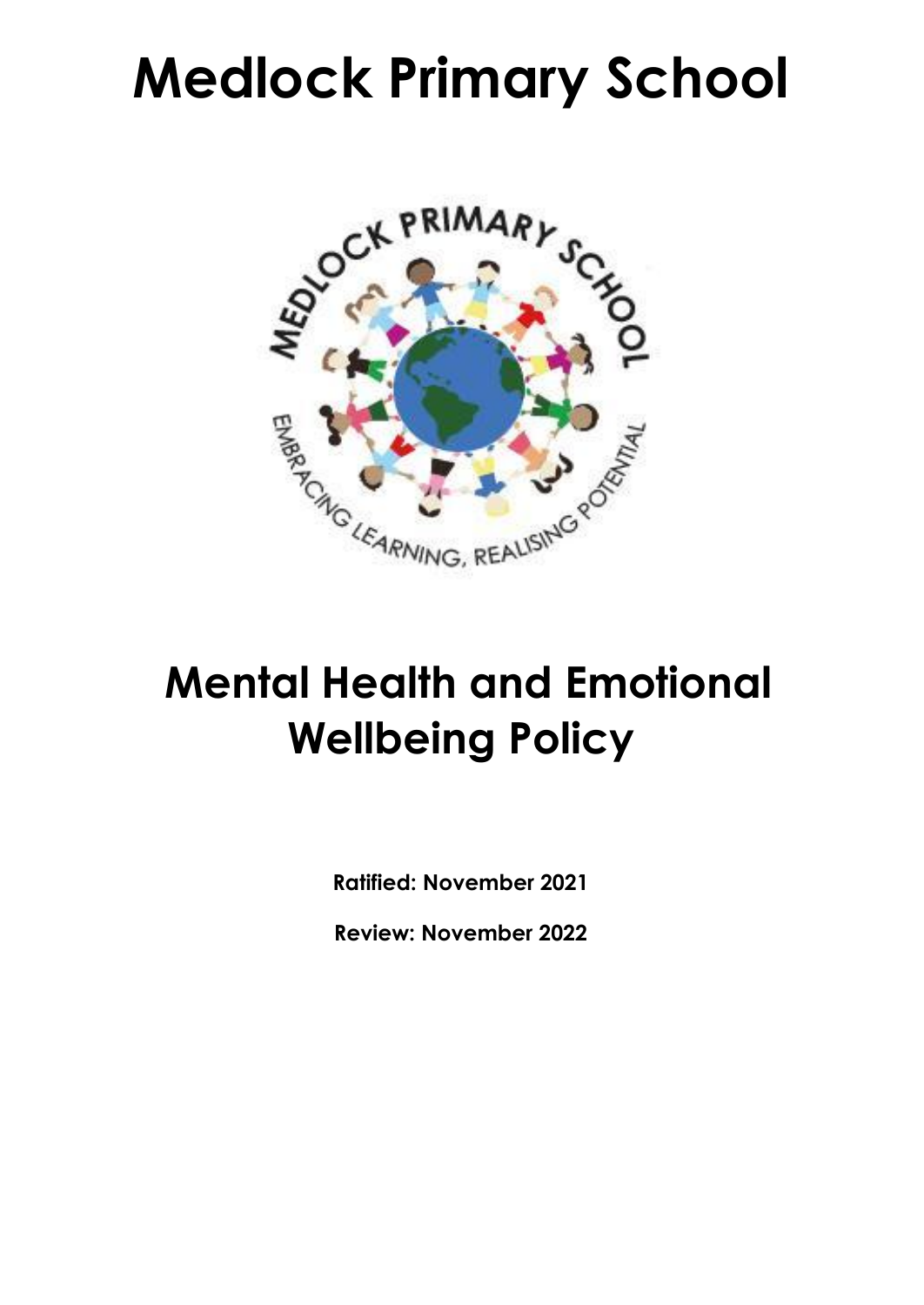# **Medlock Primary School**



# **Mental Health and Emotional Wellbeing Policy**

**Ratified: November 2021**

**Review: November 2022**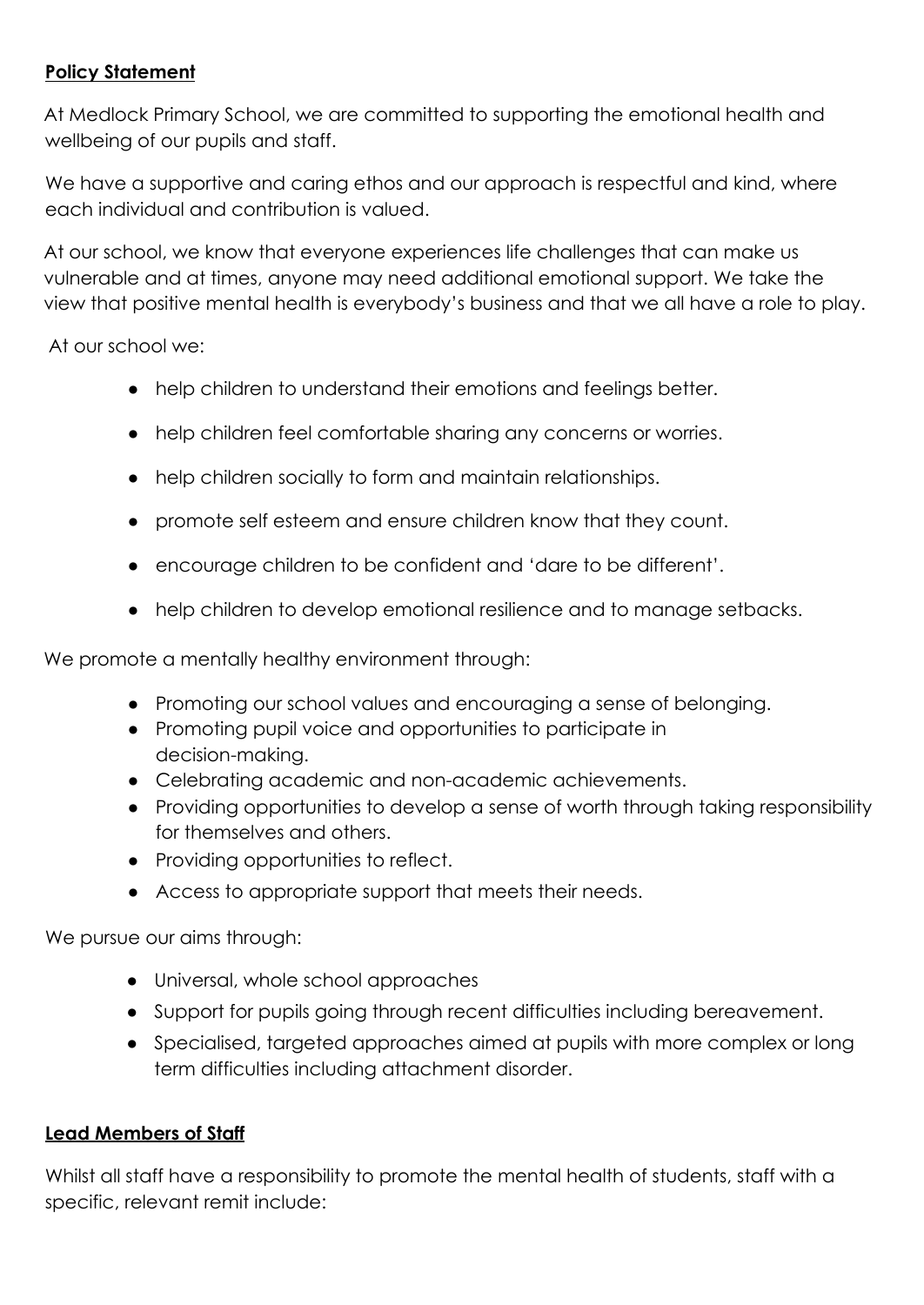#### **Policy Statement**

At Medlock Primary School, we are committed to supporting the emotional health and wellbeing of our pupils and staff.

We have a supportive and caring ethos and our approach is respectful and kind, where each individual and contribution is valued.

At our school, we know that everyone experiences life challenges that can make us vulnerable and at times, anyone may need additional emotional support. We take the view that positive mental health is everybody's business and that we all have a role to play.

At our school we:

- help children to understand their emotions and feelings better.
- help children feel comfortable sharing any concerns or worries.
- help children socially to form and maintain relationships.
- promote self esteem and ensure children know that they count.
- encourage children to be confident and 'dare to be different'.
- help children to develop emotional resilience and to manage setbacks.

We promote a mentally healthy environment through:

- Promoting our school values and encouraging a sense of belonging.
- Promoting pupil voice and opportunities to participate in decision-making.
- Celebrating academic and non-academic achievements.
- Providing opportunities to develop a sense of worth through taking responsibility for themselves and others.
- Providing opportunities to reflect.
- Access to appropriate support that meets their needs.

We pursue our aims through:

- Universal, whole school approaches
- Support for pupils going through recent difficulties including bereavement.
- Specialised, targeted approaches aimed at pupils with more complex or long term difficulties including attachment disorder.

#### **Lead Members of Staff**

Whilst all staff have a responsibility to promote the mental health of students, staff with a specific, relevant remit include: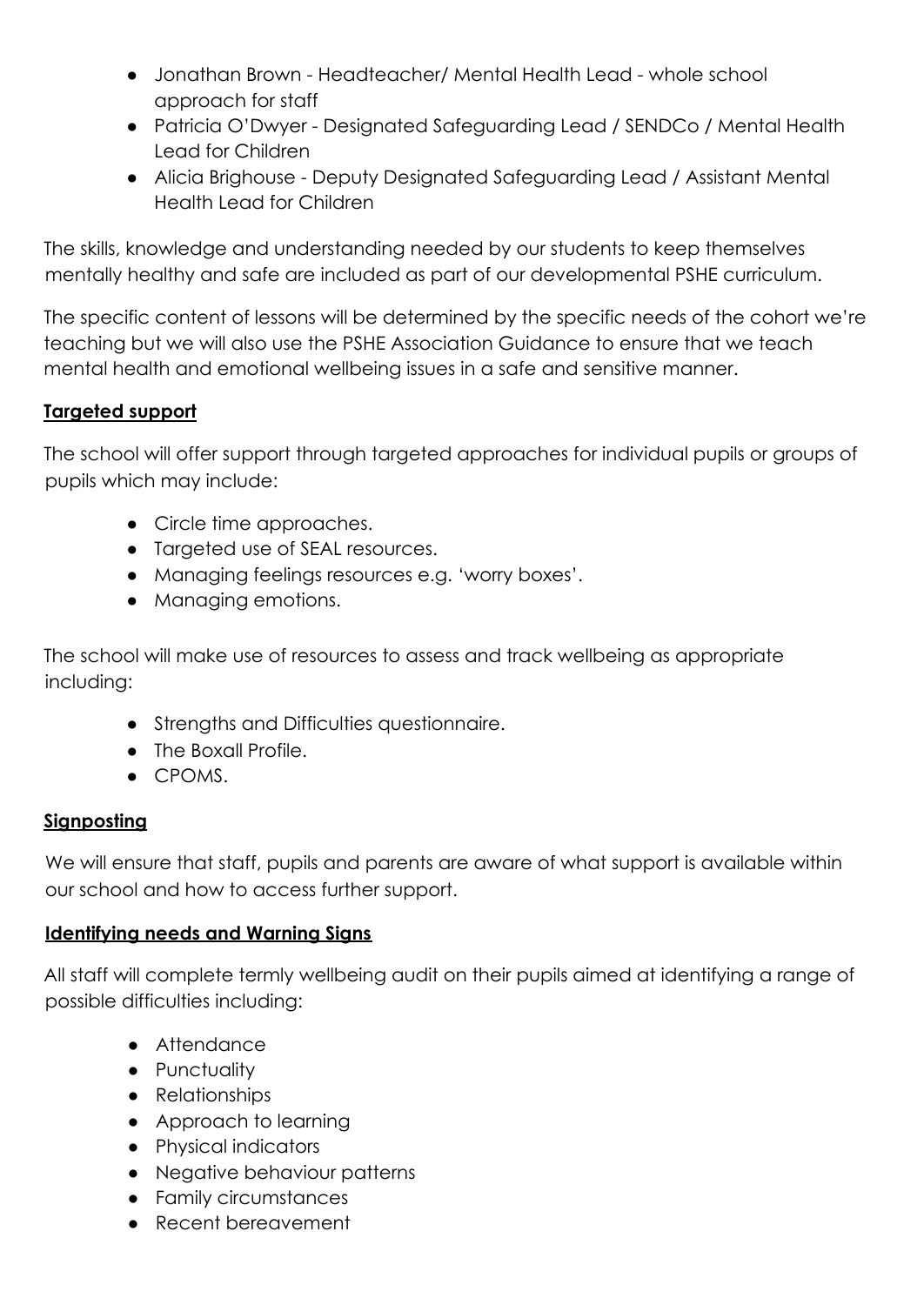- Jonathan Brown Headteacher/ Mental Health Lead whole school approach for staff
- Patricia O'Dwyer Designated Safeguarding Lead / SENDCo / Mental Health Lead for Children
- Alicia Brighouse Deputy Designated Safeguarding Lead / Assistant Mental Health Lead for Children

The skills, knowledge and understanding needed by our students to keep themselves mentally healthy and safe are included as part of our developmental PSHE curriculum.

The specific content of lessons will be determined by the specific needs of the cohort we're teaching but we will also use the PSHE Association Guidance to ensure that we teach mental health and emotional wellbeing issues in a safe and sensitive manner.

## **Targeted support**

The school will offer support through targeted approaches for individual pupils or groups of pupils which may include:

- Circle time approaches.
- Targeted use of SEAL resources.
- Managing feelings resources e.g. 'worry boxes'.
- Managing emotions.

The school will make use of resources to assess and track wellbeing as appropriate including:

- Strengths and Difficulties questionnaire.
- The Boxall Profile.
- CPOMS.

## **Signposting**

We will ensure that staff, pupils and parents are aware of what support is available within our school and how to access further support.

#### **Identifying needs and Warning Signs**

All staff will complete termly wellbeing audit on their pupils aimed at identifying a range of possible difficulties including:

- Attendance
- Punctuality
- Relationships
- Approach to learning
- Physical indicators
- Negative behaviour patterns
- Family circumstances
- Recent bereavement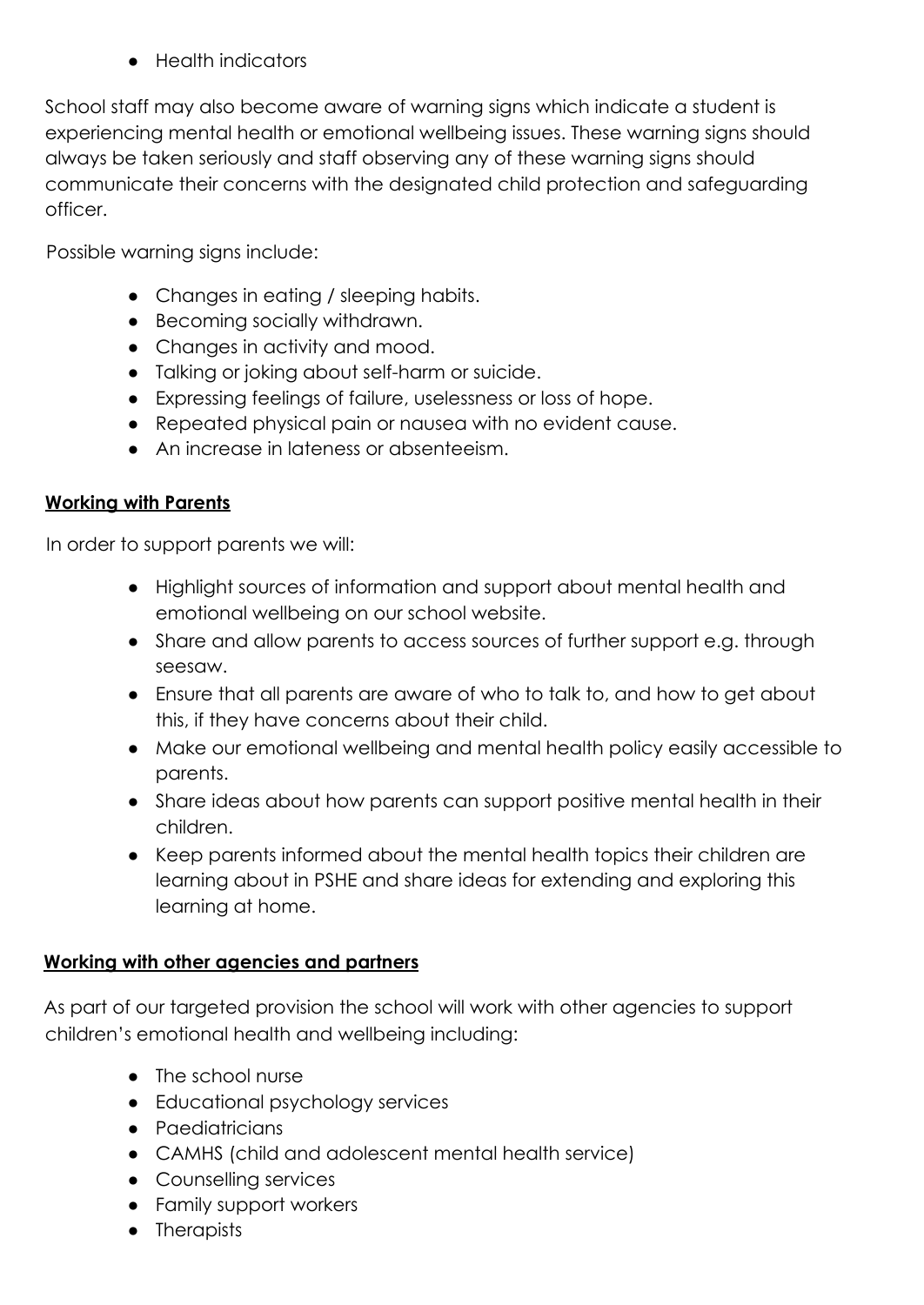● Health indicators

School staff may also become aware of warning signs which indicate a student is experiencing mental health or emotional wellbeing issues. These warning signs should always be taken seriously and staff observing any of these warning signs should communicate their concerns with the designated child protection and safeguarding officer.

Possible warning signs include:

- Changes in eating / sleeping habits.
- Becoming socially withdrawn.
- Changes in activity and mood.
- Talking or joking about self-harm or suicide.
- Expressing feelings of failure, uselessness or loss of hope.
- Repeated physical pain or nausea with no evident cause.
- An increase in lateness or absenteeism.

#### **Working with Parents**

In order to support parents we will:

- Highlight sources of information and support about mental health and emotional wellbeing on our school website.
- Share and allow parents to access sources of further support e.g. through seesaw.
- Ensure that all parents are aware of who to talk to, and how to get about this, if they have concerns about their child.
- Make our emotional wellbeing and mental health policy easily accessible to parents.
- Share ideas about how parents can support positive mental health in their children.
- Keep parents informed about the mental health topics their children are learning about in PSHE and share ideas for extending and exploring this learning at home.

#### **Working with other agencies and partners**

As part of our targeted provision the school will work with other agencies to support children's emotional health and wellbeing including:

- The school nurse
- Educational psychology services
- Paediatricians
- CAMHS (child and adolescent mental health service)
- Counselling services
- Family support workers
- Therapists